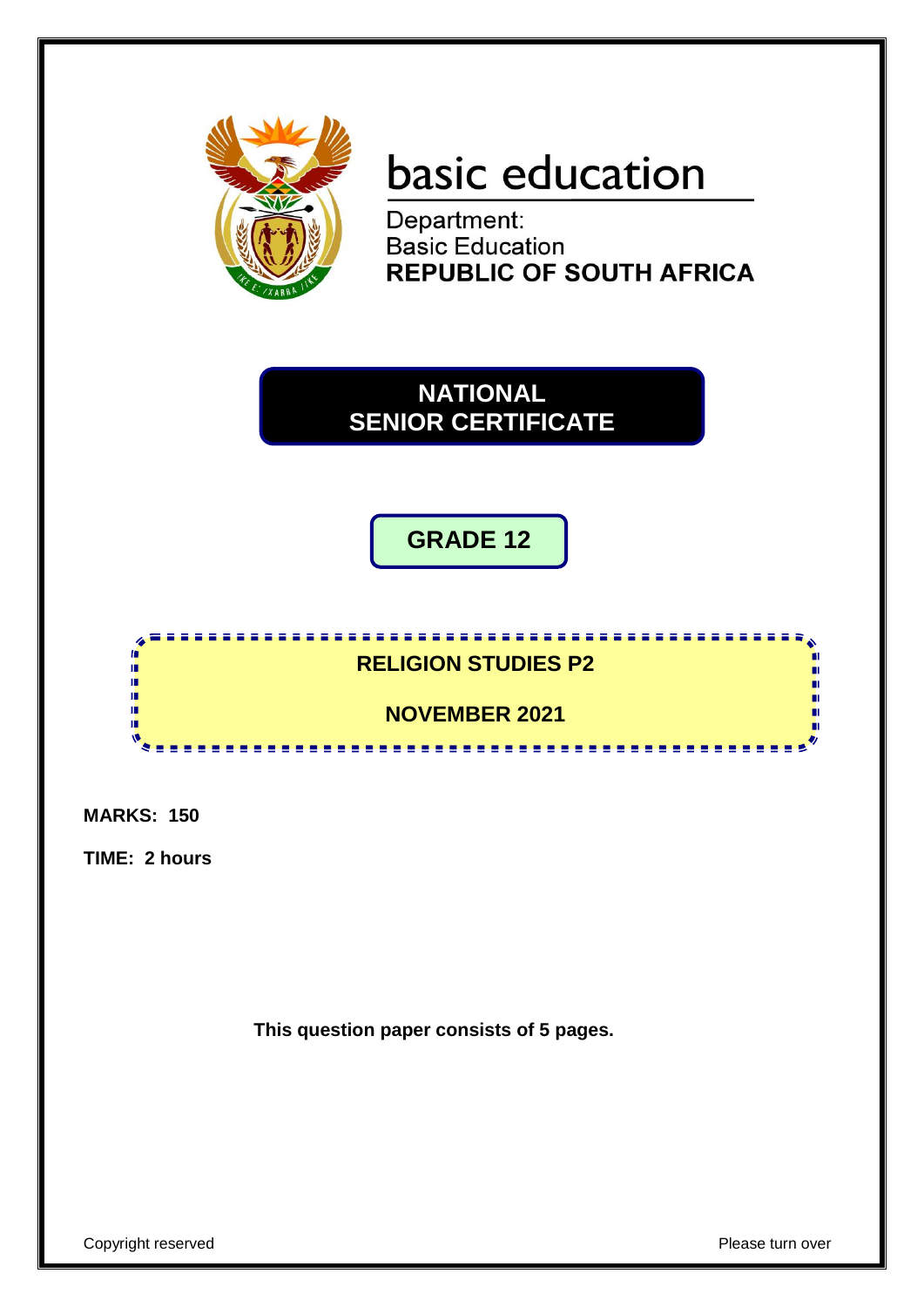

# basic education

Department: Basic Education **REPUBLIC OF SOUTH AFRICA** 

**NATIONAL SENIOR CERTIFICATE**

**GRADE 12**



**MARKS: 150**

**TIME: 2 hours**

**This question paper consists of 5 pages.**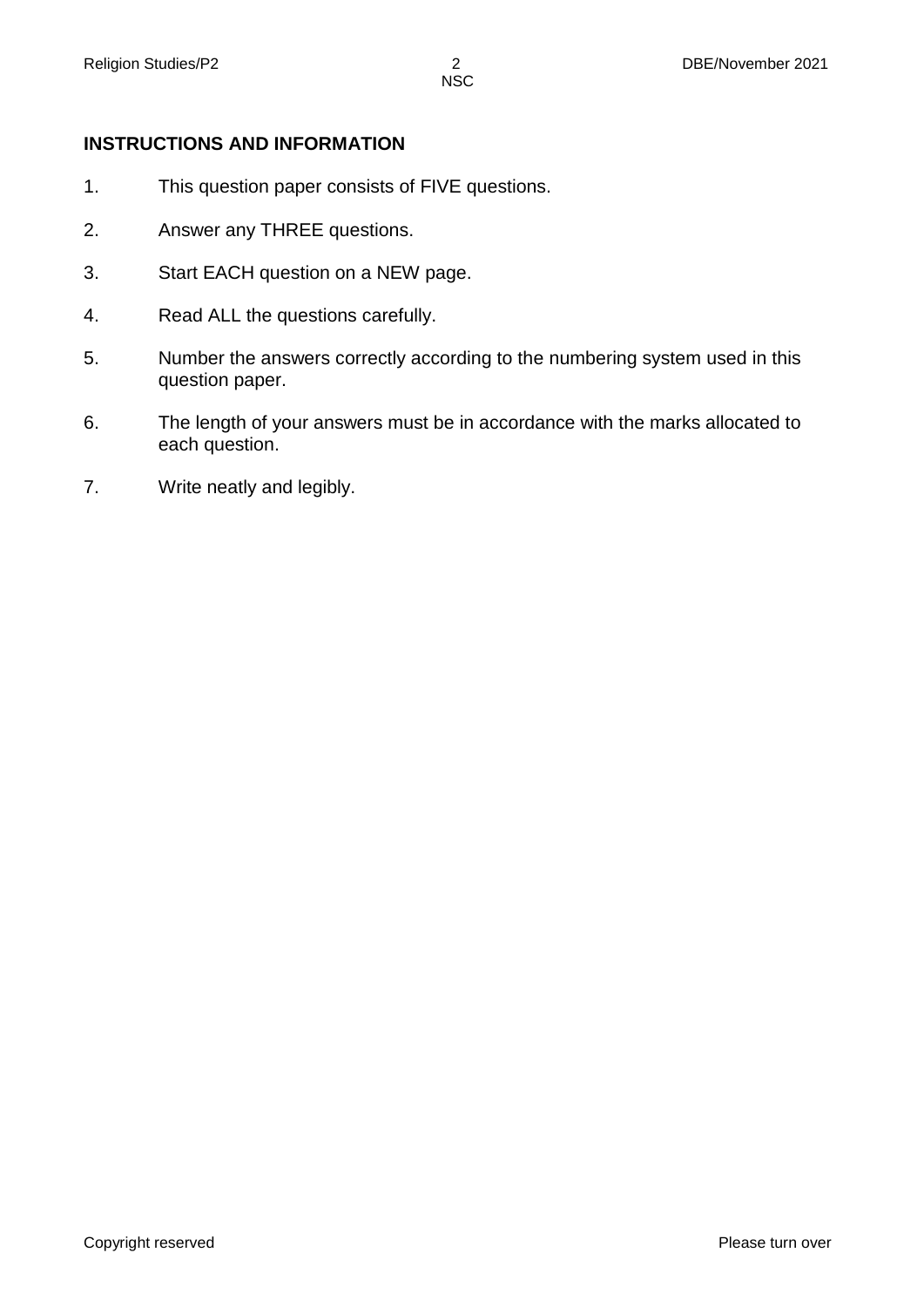# **INSTRUCTIONS AND INFORMATION**

- 1. This question paper consists of FIVE questions.
- 2. Answer any THREE questions.
- 3. Start EACH question on a NEW page.
- 4. Read ALL the questions carefully.
- 5. Number the answers correctly according to the numbering system used in this question paper.
- 6. The length of your answers must be in accordance with the marks allocated to each question.
- 7. Write neatly and legibly.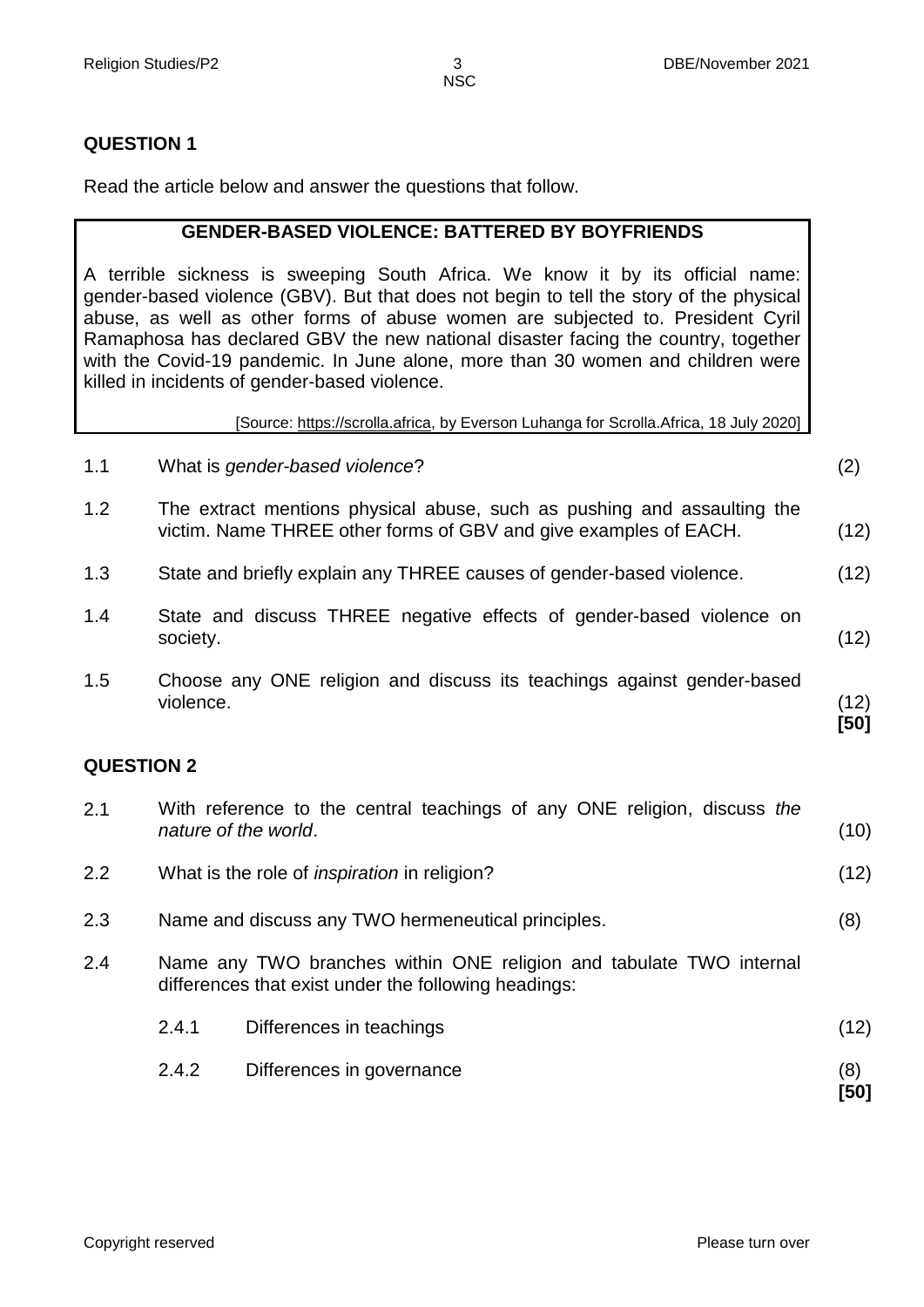### **QUESTION 1**

Read the article below and answer the questions that follow.

#### **GENDER-BASED VIOLENCE: BATTERED BY BOYFRIENDS**

A terrible sickness is sweeping South Africa. We know it by its official name: gender-based violence (GBV). But that does not begin to tell the story of the physical abuse, as well as other forms of abuse women are subjected to. President Cyril Ramaphosa has declared GBV the new national disaster facing the country, together with the Covid-19 pandemic. In June alone, more than 30 women and children were killed in incidents of gender-based violence.

[Source: https://scrolla.africa, by Everson Luhanga for Scrolla.Africa, 18 July 2020]

| 1.1               | What is gender-based violence?                                                                                                              | (2)          |
|-------------------|---------------------------------------------------------------------------------------------------------------------------------------------|--------------|
| 1.2               | The extract mentions physical abuse, such as pushing and assaulting the<br>victim. Name THREE other forms of GBV and give examples of EACH. | (12)         |
| 1.3               | State and briefly explain any THREE causes of gender-based violence.                                                                        | (12)         |
| 1.4               | State and discuss THREE negative effects of gender-based violence on<br>society.                                                            | (12)         |
| 1.5               | Choose any ONE religion and discuss its teachings against gender-based<br>violence.                                                         | (12)<br>[50] |
| <b>QUESTION 2</b> |                                                                                                                                             |              |
| 2.1               | With reference to the central teachings of any ONE religion, discuss the<br>nature of the world.                                            | (10)         |
| 2.2               | What is the role of <i>inspiration</i> in religion?                                                                                         | (12)         |
| 2.3               | Name and discuss any TWO hermeneutical principles.                                                                                          | (8)          |

- 2.4 Name any TWO branches within ONE religion and tabulate TWO internal differences that exist under the following headings:
	- 2.4.1 Differences in teachings (12) 2.4.2 Differences in governance (8)

 **[50]**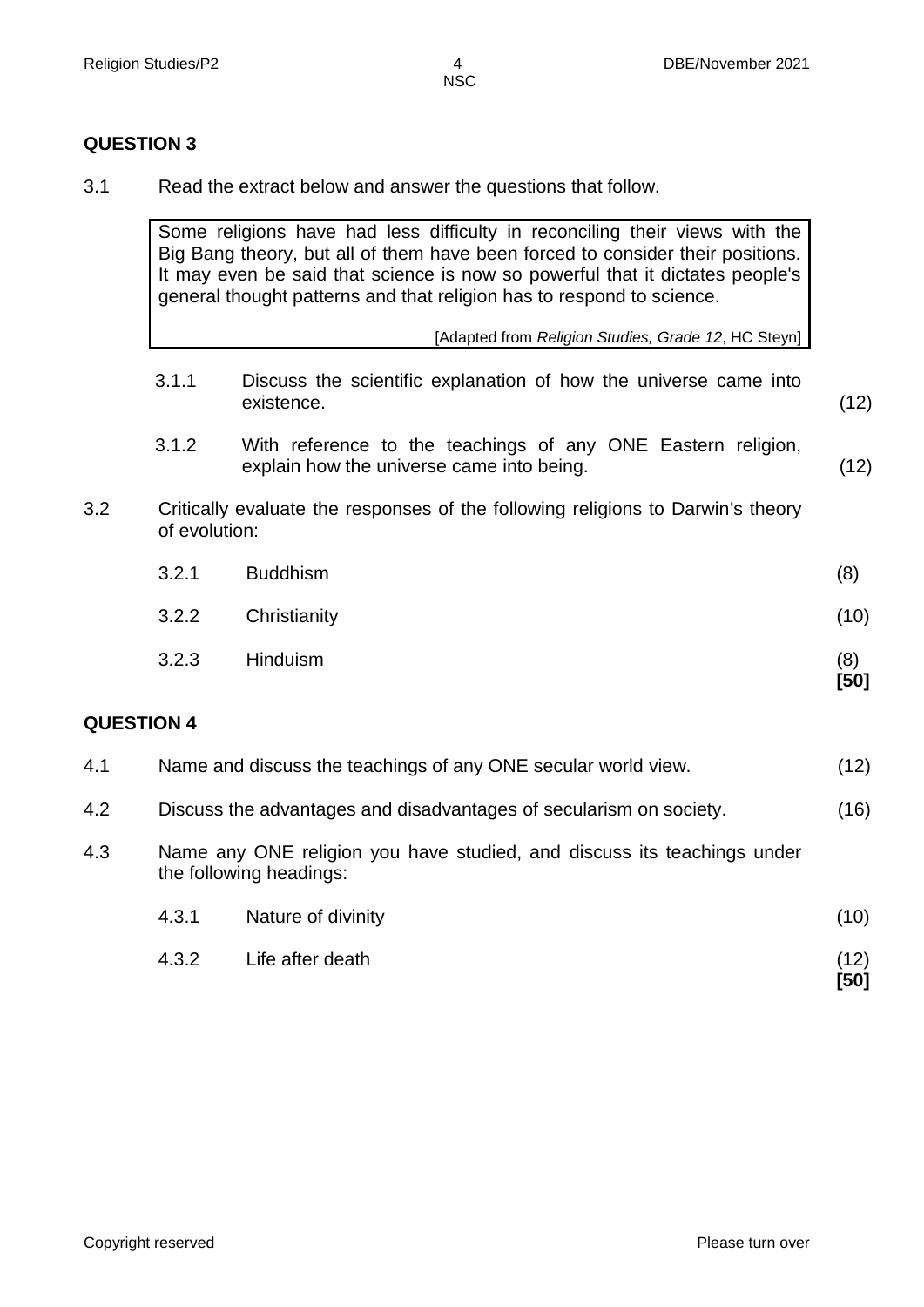### **QUESTION 3**

3.1 Read the extract below and answer the questions that follow.

Some religions have had less difficulty in reconciling their views with the Big Bang theory, but all of them have been forced to consider their positions. It may even be said that science is now so powerful that it dictates people's general thought patterns and that religion has to respond to science.

[Adapted from *Religion Studies, Grade 12*, HC Steyn]

- 3.1.1 Discuss the scientific explanation of how the universe came into existence. (12)
- 3.1.2 With reference to the teachings of any ONE Eastern religion, explain how the universe came into being. (12)
- 3.2 Critically evaluate the responses of the following religions to Darwin's theory of evolution:
	- 3.2.1 Buddhism (8) 3.2.2 Christianity (10)
	- 3.2.3 Hinduism (8)

#### **QUESTION 4**

| 4.1 | Name and discuss the teachings of any ONE secular world view.                                      | (12) |
|-----|----------------------------------------------------------------------------------------------------|------|
| 4.2 | Discuss the advantages and disadvantages of secularism on society.                                 | (16) |
| 4.3 | Name any ONE religion you have studied, and discuss its teachings under<br>the following headings: |      |
|     | Nature of divinity<br>4.3.1                                                                        | (10) |

4.3.2 Life after death (12) **[50]**

**[50]**